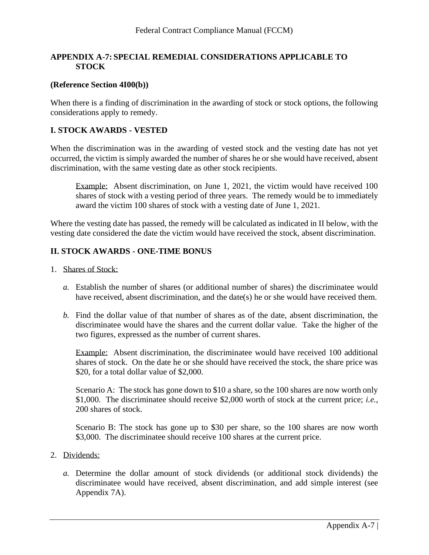# **APPENDIX A-7: SPECIAL REMEDIAL CONSIDERATIONS APPLICABLE TO STOCK**

### **(Reference Section 4I00(b))**

When there is a finding of discrimination in the awarding of stock or stock options, the following considerations apply to remedy.

## **I. STOCK AWARDS - VESTED**

When the discrimination was in the awarding of vested stock and the vesting date has not yet occurred, the victim is simply awarded the number of shares he or she would have received, absent discrimination, with the same vesting date as other stock recipients.

Example: Absent discrimination, on June 1, 2021, the victim would have received 100 shares of stock with a vesting period of three years. The remedy would be to immediately award the victim 100 shares of stock with a vesting date of June 1, 2021.

Where the vesting date has passed, the remedy will be calculated as indicated in II below, with the vesting date considered the date the victim would have received the stock, absent discrimination.

# **II. STOCK AWARDS - ONE-TIME BONUS**

- 1. Shares of Stock:
	- *a.* Establish the number of shares (or additional number of shares) the discriminatee would have received, absent discrimination, and the date(s) he or she would have received them.
	- *b.* Find the dollar value of that number of shares as of the date, absent discrimination, the discriminatee would have the shares and the current dollar value. Take the higher of the two figures, expressed as the number of current shares.

Example: Absent discrimination, the discriminatee would have received 100 additional shares of stock. On the date he or she should have received the stock, the share price was \$20, for a total dollar value of \$2,000.

Scenario A: The stock has gone down to \$10 a share, so the 100 shares are now worth only \$1,000. The discriminatee should receive \$2,000 worth of stock at the current price; *i.e.*, 200 shares of stock.

Scenario B: The stock has gone up to \$30 per share, so the 100 shares are now worth \$3,000. The discriminatee should receive 100 shares at the current price.

- 2. Dividends:
	- *a.* Determine the dollar amount of stock dividends (or additional stock dividends) the discriminatee would have received, absent discrimination, and add simple interest (see Appendix 7A).